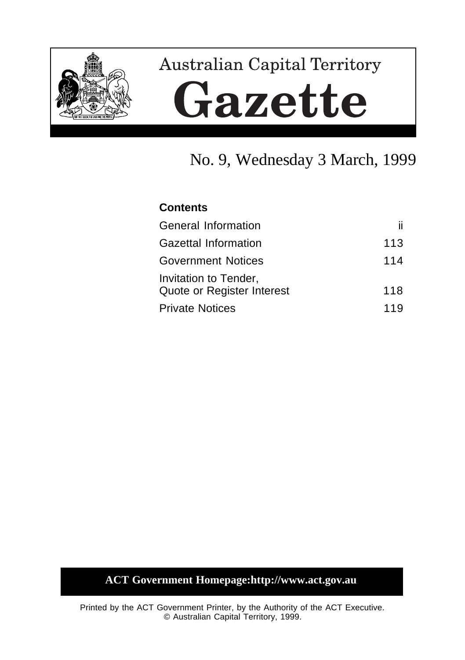

# **Australian Capital Territory** Gazette

# No. 9, Wednesday 3 March, 1999

# **Contents**

| General Information                                 | ii. |
|-----------------------------------------------------|-----|
| <b>Gazettal Information</b>                         | 113 |
| <b>Government Notices</b>                           | 114 |
| Invitation to Tender,<br>Quote or Register Interest | 118 |
| <b>Private Notices</b>                              | 119 |

# **ACT Government Homepage:http://www.act.gov.au**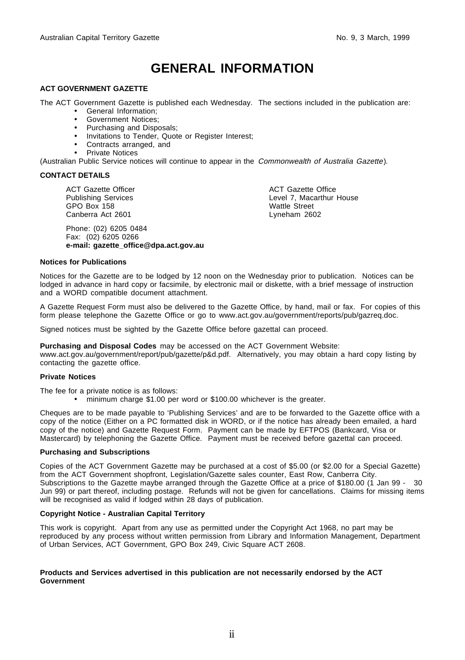# **GENERAL INFORMATION**

#### **ACT GOVERNMENT GAZETTE**

The ACT Government Gazette is published each Wednesday. The sections included in the publication are:

- General Information;
- Government Notices;
- Purchasing and Disposals;
- Invitations to Tender, Quote or Register Interest;
- Contracts arranged, and
- Private Notices

(Australian Public Service notices will continue to appear in the Commonwealth of Australia Gazette).

#### **CONTACT DETAILS**

ACT Gazette Officer Publishing Services GPO Box 158 Canberra Act 2601

Phone: (02) 6205 0484 Fax: (02) 6205 0266 **e-mail: gazette\_office@dpa.act.gov.au** ACT Gazette Office Level 7, Macarthur House Wattle Street Lyneham 2602

#### **Notices for Publications**

Notices for the Gazette are to be lodged by 12 noon on the Wednesday prior to publication. Notices can be lodged in advance in hard copy or facsimile, by electronic mail or diskette, with a brief message of instruction and a WORD compatible document attachment.

A Gazette Request Form must also be delivered to the Gazette Office, by hand, mail or fax. For copies of this form please telephone the Gazette Office or go to www.act.gov.au/government/reports/pub/gazreq.doc.

Signed notices must be sighted by the Gazette Office before gazettal can proceed.

**Purchasing and Disposal Codes** may be accessed on the ACT Government Website:

www.act.gov.au/government/report/pub/gazette/p&d.pdf. Alternatively, you may obtain a hard copy listing by contacting the gazette office.

#### **Private Notices**

The fee for a private notice is as follows:

• minimum charge \$1.00 per word or \$100.00 whichever is the greater.

Cheques are to be made payable to 'Publishing Services' and are to be forwarded to the Gazette office with a copy of the notice (Either on a PC formatted disk in WORD, or if the notice has already been emailed, a hard copy of the notice) and Gazette Request Form. Payment can be made by EFTPOS (Bankcard, Visa or Mastercard) by telephoning the Gazette Office. Payment must be received before gazettal can proceed.

#### **Purchasing and Subscriptions**

Copies of the ACT Government Gazette may be purchased at a cost of \$5.00 (or \$2.00 for a Special Gazette) from the ACT Government shopfront, Legislation/Gazette sales counter, East Row, Canberra City. Subscriptions to the Gazette maybe arranged through the Gazette Office at a price of \$180.00 (1 Jan 99 - 30 Jun 99) or part thereof, including postage. Refunds will not be given for cancellations. Claims for missing items will be recognised as valid if lodged within 28 days of publication.

#### **Copyright Notice - Australian Capital Territory**

This work is copyright. Apart from any use as permitted under the Copyright Act 1968, no part may be reproduced by any process without written permission from Library and Information Management, Department of Urban Services, ACT Government, GPO Box 249, Civic Square ACT 2608.

#### **Products and Services advertised in this publication are not necessarily endorsed by the ACT Government**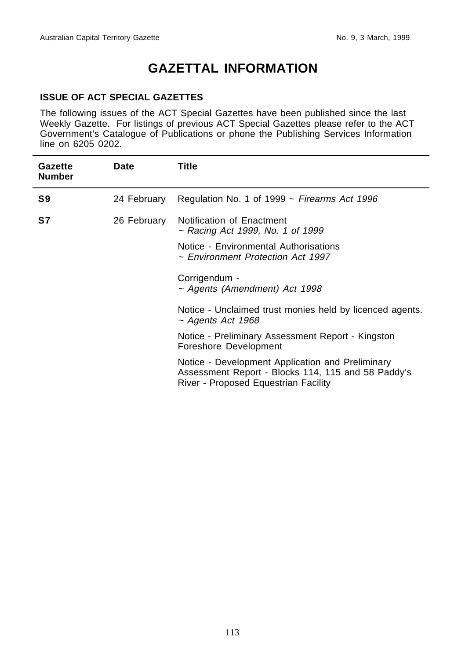# **GAZETTAL INFORMATION**

## **ISSUE OF ACT SPECIAL GAZETTES**

The following issues of the ACT Special Gazettes have been published since the last Weekly Gazette. For listings of previous ACT Special Gazettes please refer to the ACT Government's Catalogue of Publications or phone the Publishing Services Information line on 6205 0202.

| Gazette<br><b>Number</b> | <b>Date</b> | Title                                                                                                                                          |
|--------------------------|-------------|------------------------------------------------------------------------------------------------------------------------------------------------|
| S9                       | 24 February | Regulation No. 1 of 1999 $\sim$ Firearms Act 1996                                                                                              |
| S7                       | 26 February | Notification of Enactment<br>~ Racing Act 1999, No. 1 of 1999                                                                                  |
|                          |             | Notice - Environmental Authorisations<br>$\sim$ Environment Protection Act 1997                                                                |
|                          |             | Corrigendum -<br>$\sim$ Agents (Amendment) Act 1998                                                                                            |
|                          |             | Notice - Unclaimed trust monies held by licenced agents.<br>$\sim$ Agents Act 1968                                                             |
|                          |             | Notice - Preliminary Assessment Report - Kingston<br>Foreshore Development                                                                     |
|                          |             | Notice - Development Application and Preliminary<br>Assessment Report - Blocks 114, 115 and 58 Paddy's<br>River - Proposed Equestrian Facility |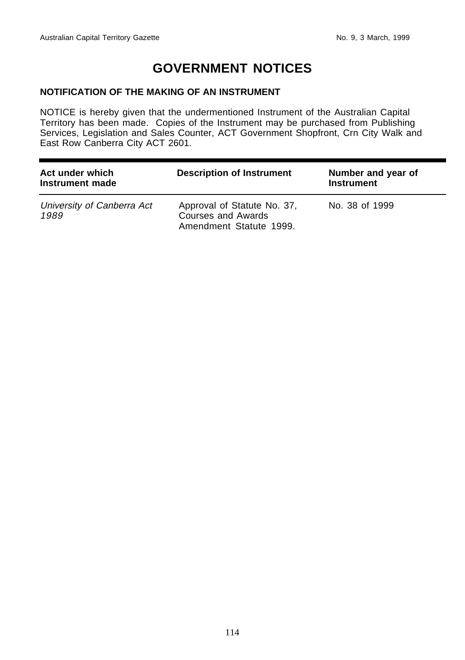# **GOVERNMENT NOTICES**

## **NOTIFICATION OF THE MAKING OF AN INSTRUMENT**

NOTICE is hereby given that the undermentioned Instrument of the Australian Capital Territory has been made. Copies of the Instrument may be purchased from Publishing Services, Legislation and Sales Counter, ACT Government Shopfront, Crn City Walk and East Row Canberra City ACT 2601.

| Act under which<br>Instrument made | <b>Description of Instrument</b>                                                    | Number and year of<br><b>Instrument</b> |  |
|------------------------------------|-------------------------------------------------------------------------------------|-----------------------------------------|--|
| University of Canberra Act<br>1989 | Approval of Statute No. 37,<br><b>Courses and Awards</b><br>Amendment Statute 1999. | No. 38 of 1999                          |  |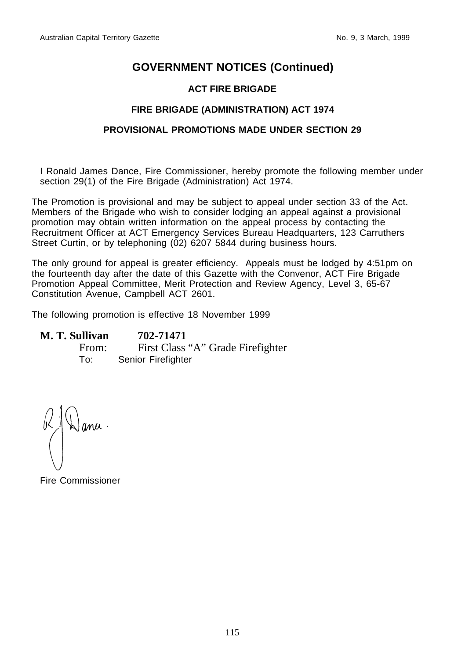# **GOVERNMENT NOTICES (Continued)**

# **ACT FIRE BRIGADE**

## **FIRE BRIGADE (ADMINISTRATION) ACT 1974**

## **PROVISIONAL PROMOTIONS MADE UNDER SECTION 29**

I Ronald James Dance, Fire Commissioner, hereby promote the following member under section 29(1) of the Fire Brigade (Administration) Act 1974.

The Promotion is provisional and may be subject to appeal under section 33 of the Act. Members of the Brigade who wish to consider lodging an appeal against a provisional promotion may obtain written information on the appeal process by contacting the Recruitment Officer at ACT Emergency Services Bureau Headquarters, 123 Carruthers Street Curtin, or by telephoning (02) 6207 5844 during business hours.

The only ground for appeal is greater efficiency. Appeals must be lodged by 4:51pm on the fourteenth day after the date of this Gazette with the Convenor, ACT Fire Brigade Promotion Appeal Committee, Merit Protection and Review Agency, Level 3, 65-67 Constitution Avenue, Campbell ACT 2601.

The following promotion is effective 18 November 1999

# **M. T. Sullivan 702-71471** From: First Class "A" Grade Firefighter To: Senior Firefighter

ana

Fire Commissioner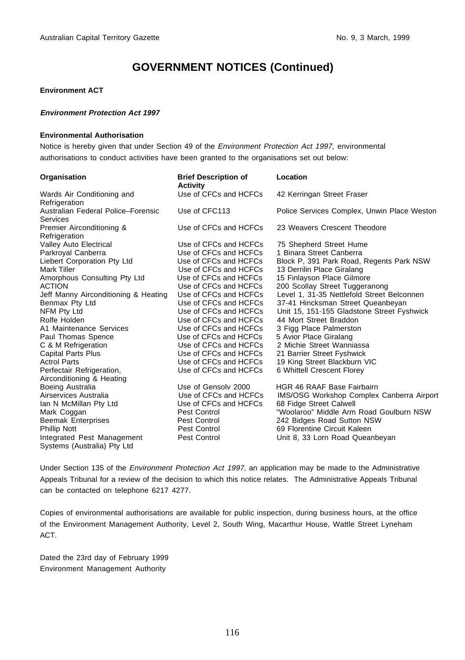# **GOVERNMENT NOTICES (Continued)**

#### **Environment ACT**

#### **Environment Protection Act 1997**

#### **Environmental Authorisation**

Notice is hereby given that under Section 49 of the Environment Protection Act 1997, environmental authorisations to conduct activities have been granted to the organisations set out below:

| Organisation                                   | <b>Brief Description of</b><br><b>Activity</b> | Location                                    |
|------------------------------------------------|------------------------------------------------|---------------------------------------------|
| Wards Air Conditioning and<br>Refrigeration    | Use of CFCs and HCFCs                          | 42 Kerringan Street Fraser                  |
| Australian Federal Police-Forensic<br>Services | Use of CFC113                                  | Police Services Complex, Unwin Place Weston |
| Premier Airconditioning &<br>Refrigeration     | Use of CFCs and HCFCs                          | 23 Weavers Crescent Theodore                |
| <b>Valley Auto Electrical</b>                  | Use of CFCs and HCFCs                          | 75 Shepherd Street Hume                     |
| Parkroyal Canberra                             | Use of CFCs and HCFCs                          | 1 Binara Street Canberra                    |
| Liebert Corporation Pty Ltd                    | Use of CFCs and HCFCs                          | Block P, 391 Park Road, Regents Park NSW    |
| Mark Tiller                                    | Use of CFCs and HCFCs                          | 13 Derrilin Place Giralang                  |
| Amorphous Consulting Pty Ltd                   | Use of CFCs and HCFCs                          | 15 Finlayson Place Gilmore                  |
| <b>ACTION</b>                                  | Use of CFCs and HCFCs                          | 200 Scollay Street Tuggeranong              |
| Jeff Manny Airconditioning & Heating           | Use of CFCs and HCFCs                          | Level 1, 31-35 Nettlefold Street Belconnen  |
| Benmax Pty Ltd                                 | Use of CFCs and HCFCs                          | 37-41 Hincksman Street Queanbeyan           |
| NFM Pty Ltd                                    | Use of CFCs and HCFCs                          | Unit 15, 151-155 Gladstone Street Fyshwick  |
| Rolfe Holden                                   | Use of CFCs and HCFCs                          | 44 Mort Street Braddon                      |
| A1 Maintenance Services                        | Use of CFCs and HCFCs                          | 3 Figg Place Palmerston                     |
| Paul Thomas Spence                             | Use of CFCs and HCFCs                          | 5 Avior Place Giralang                      |
| C & M Refrigeration                            | Use of CFCs and HCFCs                          | 2 Michie Street Wanniassa                   |
| <b>Capital Parts Plus</b>                      | Use of CFCs and HCFCs                          | 21 Barrier Street Fyshwick                  |
| <b>Actrol Parts</b>                            | Use of CFCs and HCFCs                          | 19 King Street Blackburn VIC                |
| Perfectair Refrigeration,                      | Use of CFCs and HCFCs                          | 6 Whittell Crescent Florey                  |
| Airconditioning & Heating                      |                                                |                                             |
| Boeing Australia                               | Use of Gensoly 2000                            | <b>HGR 46 RAAF Base Fairbairn</b>           |
| Airservices Australia                          | Use of CFCs and HCFCs                          | IMS/OSG Workshop Complex Canberra Airport   |
| Ian N McMillan Pty Ltd                         | Use of CFCs and HCFCs                          | 68 Fidge Street Calwell                     |
| Mark Coggan                                    | Pest Control                                   | "Woolaroo" Middle Arm Road Goulburn NSW     |
| <b>Beemak Enterprises</b>                      | Pest Control                                   | 242 Bidges Road Sutton NSW                  |
| <b>Phillip Nott</b>                            | Pest Control                                   | 69 Florentine Circuit Kaleen                |
| Integrated Pest Management                     | Pest Control                                   | Unit 8, 33 Lorn Road Queanbeyan             |
| Systems (Australia) Pty Ltd                    |                                                |                                             |

Under Section 135 of the *Environment Protection Act 1997*, an application may be made to the Administrative Appeals Tribunal for a review of the decision to which this notice relates. The Administrative Appeals Tribunal can be contacted on telephone 6217 4277.

Copies of environmental authorisations are available for public inspection, during business hours, at the office of the Environment Management Authority, Level 2, South Wing, Macarthur House, Wattle Street Lyneham ACT.

Dated the 23rd day of February 1999 Environment Management Authority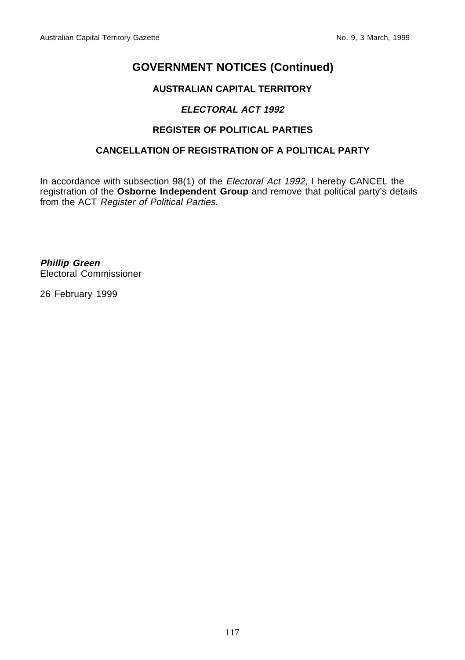# **GOVERNMENT NOTICES (Continued)**

# **AUSTRALIAN CAPITAL TERRITORY**

# **ELECTORAL ACT 1992**

# **REGISTER OF POLITICAL PARTIES**

# **CANCELLATION OF REGISTRATION OF A POLITICAL PARTY**

In accordance with subsection 98(1) of the Electoral Act 1992, I hereby CANCEL the registration of the **Osborne Independent Group** and remove that political party's details from the ACT Register of Political Parties.

**Phillip Green** Electoral Commissioner

26 February 1999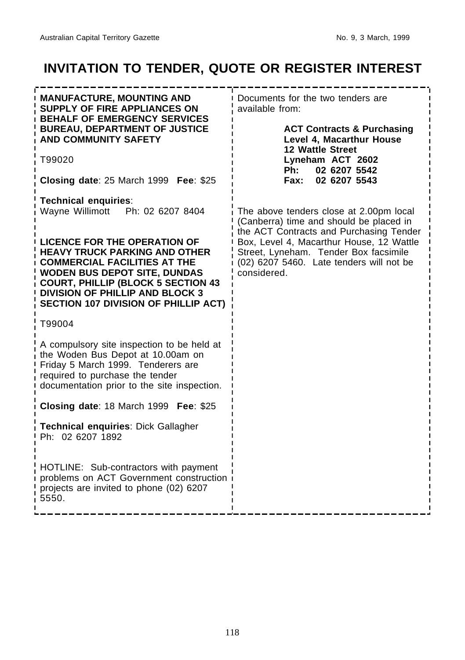# **INVITATION TO TENDER, QUOTE OR REGISTER INTEREST**

| <b>MANUFACTURE, MOUNTING AND</b><br>SUPPLY OF FIRE APPLIANCES ON<br><b>BEHALF OF EMERGENCY SERVICES</b>                                                                                                                                                                                         | Documents for the two tenders are<br>available from:                                                                                         |  |
|-------------------------------------------------------------------------------------------------------------------------------------------------------------------------------------------------------------------------------------------------------------------------------------------------|----------------------------------------------------------------------------------------------------------------------------------------------|--|
| <b>BUREAU, DEPARTMENT OF JUSTICE</b><br><b>AND COMMUNITY SAFETY</b>                                                                                                                                                                                                                             | <b>ACT Contracts &amp; Purchasing</b><br>Level 4, Macarthur House<br><b>12 Wattle Street</b>                                                 |  |
| T99020                                                                                                                                                                                                                                                                                          | Lyneham ACT 2602<br>02 6207 5542<br>Ph:                                                                                                      |  |
| Closing date: 25 March 1999 Fee: \$25                                                                                                                                                                                                                                                           | <b>Fax:</b><br>02 6207 5543                                                                                                                  |  |
| <b>Technical enquiries:</b><br>Wayne Willimott  Ph: 02 6207 8404                                                                                                                                                                                                                                | The above tenders close at 2.00pm local<br>(Canberra) time and should be placed in<br>the ACT Contracts and Purchasing Tender                |  |
| <b>LICENCE FOR THE OPERATION OF</b><br><b>HEAVY TRUCK PARKING AND OTHER</b><br><b>COMMERCIAL FACILITIES AT THE</b><br><b>WODEN BUS DEPOT SITE, DUNDAS</b><br><b>COURT, PHILLIP (BLOCK 5 SECTION 43</b><br><b>DIVISION OF PHILLIP AND BLOCK 3</b><br><b>SECTION 107 DIVISION OF PHILLIP ACT)</b> | Box, Level 4, Macarthur House, 12 Wattle<br>Street, Lyneham. Tender Box facsimile<br>(02) 6207 5460. Late tenders will not be<br>considered. |  |
| T99004                                                                                                                                                                                                                                                                                          |                                                                                                                                              |  |
| A compulsory site inspection to be held at<br>the Woden Bus Depot at 10.00am on<br>Friday 5 March 1999. Tenderers are<br>required to purchase the tender<br>documentation prior to the site inspection.                                                                                         |                                                                                                                                              |  |
| Closing date: 18 March 1999 Fee: \$25                                                                                                                                                                                                                                                           |                                                                                                                                              |  |
| Technical enquiries: Dick Gallagher<br>Ph: 02 6207 1892                                                                                                                                                                                                                                         |                                                                                                                                              |  |
| HOTLINE: Sub-contractors with payment<br>problems on ACT Government construction<br>projects are invited to phone (02) 6207<br>5550.                                                                                                                                                            |                                                                                                                                              |  |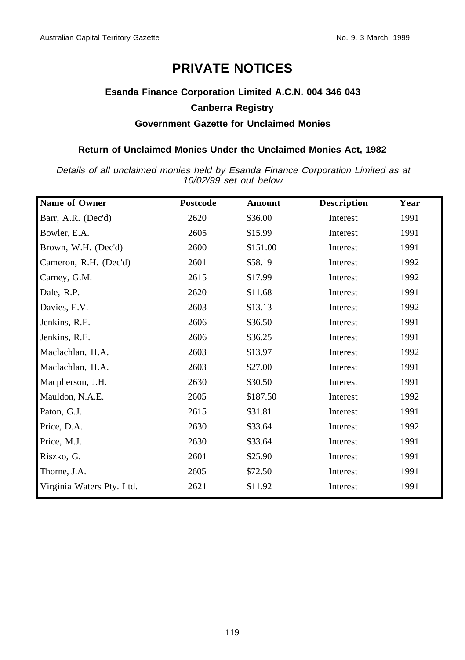# **PRIVATE NOTICES**

# **Esanda Finance Corporation Limited A.C.N. 004 346 043 Canberra Registry Government Gazette for Unclaimed Monies**

## **Return of Unclaimed Monies Under the Unclaimed Monies Act, 1982**

Details of all unclaimed monies held by Esanda Finance Corporation Limited as at 10/02/99 set out below

| Name of Owner             | <b>Postcode</b> | Amount   | <b>Description</b> | Year |
|---------------------------|-----------------|----------|--------------------|------|
| Barr, A.R. (Dec'd)        | 2620            | \$36.00  | Interest           | 1991 |
| Bowler, E.A.              | 2605            | \$15.99  | Interest           | 1991 |
| Brown, W.H. (Dec'd)       | 2600            | \$151.00 | Interest           | 1991 |
| Cameron, R.H. (Dec'd)     | 2601            | \$58.19  | Interest           | 1992 |
| Carney, G.M.              | 2615            | \$17.99  | Interest           | 1992 |
| Dale, R.P.                | 2620            | \$11.68  | Interest           | 1991 |
| Davies, E.V.              | 2603            | \$13.13  | Interest           | 1992 |
| Jenkins, R.E.             | 2606            | \$36.50  | Interest           | 1991 |
| Jenkins, R.E.             | 2606            | \$36.25  | Interest           | 1991 |
| Maclachlan, H.A.          | 2603            | \$13.97  | Interest           | 1992 |
| Maclachlan, H.A.          | 2603            | \$27.00  | Interest           | 1991 |
| Macpherson, J.H.          | 2630            | \$30.50  | Interest           | 1991 |
| Mauldon, N.A.E.           | 2605            | \$187.50 | Interest           | 1992 |
| Paton, G.J.               | 2615            | \$31.81  | Interest           | 1991 |
| Price, D.A.               | 2630            | \$33.64  | Interest           | 1992 |
| Price, M.J.               | 2630            | \$33.64  | Interest           | 1991 |
| Riszko, G.                | 2601            | \$25.90  | Interest           | 1991 |
| Thorne, J.A.              | 2605            | \$72.50  | Interest           | 1991 |
| Virginia Waters Pty. Ltd. | 2621            | \$11.92  | Interest           | 1991 |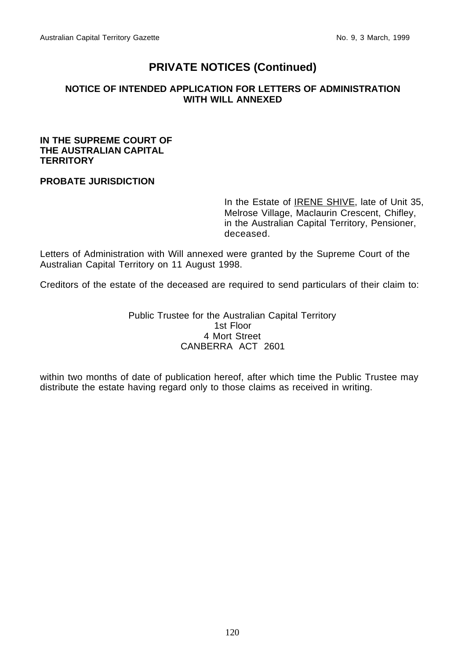# **PRIVATE NOTICES (Continued)**

## **NOTICE OF INTENDED APPLICATION FOR LETTERS OF ADMINISTRATION WITH WILL ANNEXED**

## **IN THE SUPREME COURT OF THE AUSTRALIAN CAPITAL TERRITORY**

## **PROBATE JURISDICTION**

In the Estate of **IRENE SHIVE**, late of Unit 35, Melrose Village, Maclaurin Crescent, Chifley, in the Australian Capital Territory, Pensioner, deceased.

Letters of Administration with Will annexed were granted by the Supreme Court of the Australian Capital Territory on 11 August 1998.

Creditors of the estate of the deceased are required to send particulars of their claim to:

Public Trustee for the Australian Capital Territory 1st Floor 4 Mort Street CANBERRA ACT 2601

within two months of date of publication hereof, after which time the Public Trustee may distribute the estate having regard only to those claims as received in writing.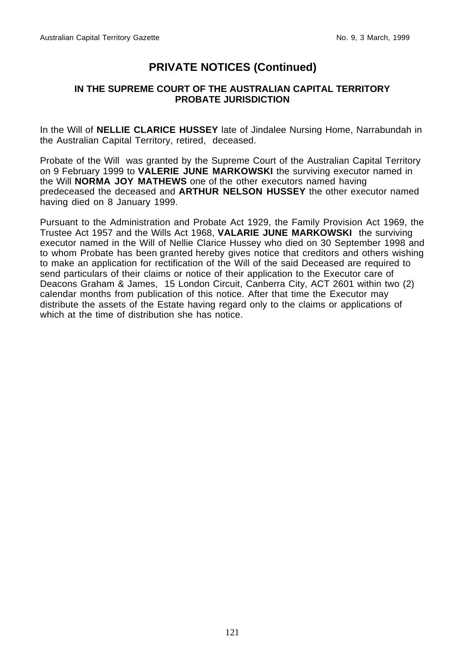# **PRIVATE NOTICES (Continued)**

## **IN THE SUPREME COURT OF THE AUSTRALIAN CAPITAL TERRITORY PROBATE JURISDICTION**

In the Will of **NELLIE CLARICE HUSSEY** late of Jindalee Nursing Home, Narrabundah in the Australian Capital Territory, retired, deceased.

Probate of the Will was granted by the Supreme Court of the Australian Capital Territory on 9 February 1999 to **VALERIE JUNE MARKOWSKI** the surviving executor named in the Will **NORMA JOY MATHEWS** one of the other executors named having predeceased the deceased and **ARTHUR NELSON HUSSEY** the other executor named having died on 8 January 1999.

Pursuant to the Administration and Probate Act 1929, the Family Provision Act 1969, the Trustee Act 1957 and the Wills Act 1968, **VALARIE JUNE MARKOWSKI** the surviving executor named in the Will of Nellie Clarice Hussey who died on 30 September 1998 and to whom Probate has been granted hereby gives notice that creditors and others wishing to make an application for rectification of the Will of the said Deceased are required to send particulars of their claims or notice of their application to the Executor care of Deacons Graham & James, 15 London Circuit, Canberra City, ACT 2601 within two (2) calendar months from publication of this notice. After that time the Executor may distribute the assets of the Estate having regard only to the claims or applications of which at the time of distribution she has notice.